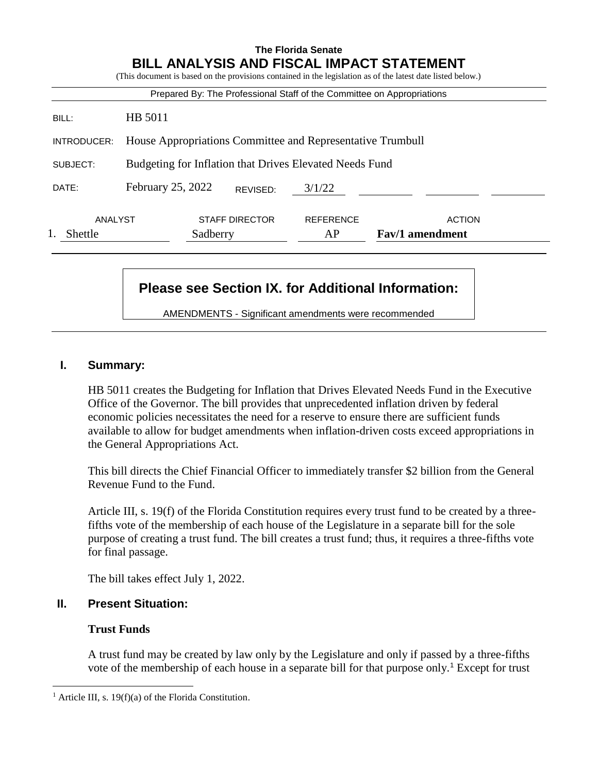| <b>The Florida Senate</b><br><b>BILL ANALYSIS AND FISCAL IMPACT STATEMENT</b><br>(This document is based on the provisions contained in the legislation as of the latest date listed below.) |                                                            |                        |                                         |
|----------------------------------------------------------------------------------------------------------------------------------------------------------------------------------------------|------------------------------------------------------------|------------------------|-----------------------------------------|
| Prepared By: The Professional Staff of the Committee on Appropriations                                                                                                                       |                                                            |                        |                                         |
| BILL:                                                                                                                                                                                        | HB 5011                                                    |                        |                                         |
| INTRODUCER:                                                                                                                                                                                  | House Appropriations Committee and Representative Trumbull |                        |                                         |
| SUBJECT:                                                                                                                                                                                     | Budgeting for Inflation that Drives Elevated Needs Fund    |                        |                                         |
| DATE:                                                                                                                                                                                        | February 25, 2022<br>REVISED:                              | 3/1/22                 |                                         |
| ANALYST<br>Shettle                                                                                                                                                                           | <b>STAFF DIRECTOR</b><br>Sadberry                          | <b>REFERENCE</b><br>AP | <b>ACTION</b><br><b>Fav/1</b> amendment |

# **Please see Section IX. for Additional Information:**

AMENDMENTS - Significant amendments were recommended

#### **I. Summary:**

HB 5011 creates the Budgeting for Inflation that Drives Elevated Needs Fund in the Executive Office of the Governor. The bill provides that unprecedented inflation driven by federal economic policies necessitates the need for a reserve to ensure there are sufficient funds available to allow for budget amendments when inflation-driven costs exceed appropriations in the General Appropriations Act.

This bill directs the Chief Financial Officer to immediately transfer \$2 billion from the General Revenue Fund to the Fund.

Article III, s. 19(f) of the Florida Constitution requires every trust fund to be created by a threefifths vote of the membership of each house of the Legislature in a separate bill for the sole purpose of creating a trust fund. The bill creates a trust fund; thus, it requires a three-fifths vote for final passage.

The bill takes effect July 1, 2022.

#### **II. Present Situation:**

#### **Trust Funds**

 $\overline{a}$ 

A trust fund may be created by law only by the Legislature and only if passed by a three-fifths vote of the membership of each house in a separate bill for that purpose only.<sup>1</sup> Except for trust

<sup>&</sup>lt;sup>1</sup> Article III, s. 19(f)(a) of the Florida Constitution.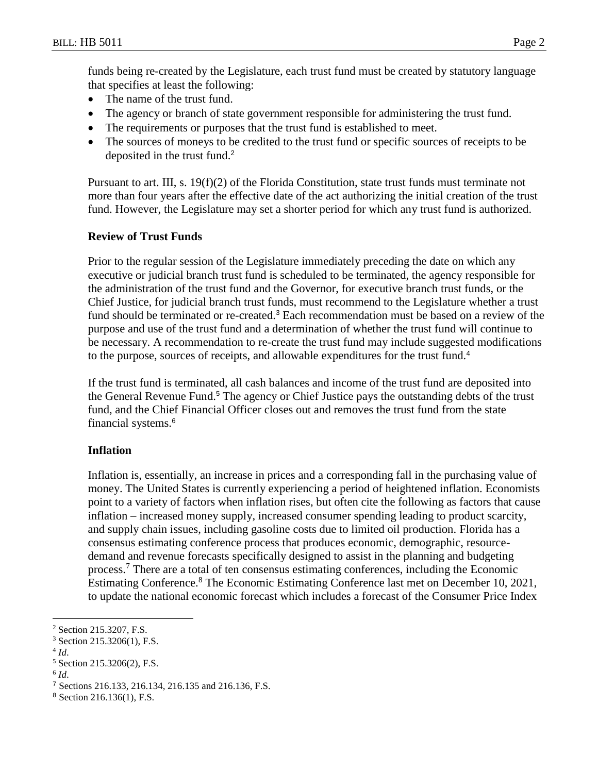funds being re-created by the Legislature, each trust fund must be created by statutory language that specifies at least the following:

- The name of the trust fund.
- The agency or branch of state government responsible for administering the trust fund.
- The requirements or purposes that the trust fund is established to meet.
- The sources of moneys to be credited to the trust fund or specific sources of receipts to be deposited in the trust fund.<sup>2</sup>

Pursuant to art. III, s. 19(f)(2) of the Florida Constitution, state trust funds must terminate not more than four years after the effective date of the act authorizing the initial creation of the trust fund. However, the Legislature may set a shorter period for which any trust fund is authorized.

#### **Review of Trust Funds**

Prior to the regular session of the Legislature immediately preceding the date on which any executive or judicial branch trust fund is scheduled to be terminated, the agency responsible for the administration of the trust fund and the Governor, for executive branch trust funds, or the Chief Justice, for judicial branch trust funds, must recommend to the Legislature whether a trust fund should be terminated or re-created.<sup>3</sup> Each recommendation must be based on a review of the purpose and use of the trust fund and a determination of whether the trust fund will continue to be necessary. A recommendation to re-create the trust fund may include suggested modifications to the purpose, sources of receipts, and allowable expenditures for the trust fund.<sup>4</sup>

If the trust fund is terminated, all cash balances and income of the trust fund are deposited into the General Revenue Fund.<sup>5</sup> The agency or Chief Justice pays the outstanding debts of the trust fund, and the Chief Financial Officer closes out and removes the trust fund from the state financial systems.<sup>6</sup>

#### **Inflation**

Inflation is, essentially, an increase in prices and a corresponding fall in the purchasing value of money. The United States is currently experiencing a period of heightened inflation. Economists point to a variety of factors when inflation rises, but often cite the following as factors that cause inflation – increased money supply, increased consumer spending leading to product scarcity, and supply chain issues, including gasoline costs due to limited oil production. Florida has a consensus estimating conference process that produces economic, demographic, resourcedemand and revenue forecasts specifically designed to assist in the planning and budgeting process.<sup>7</sup> There are a total of ten consensus estimating conferences, including the Economic Estimating Conference.<sup>8</sup> The Economic Estimating Conference last met on December 10, 2021, to update the national economic forecast which includes a forecast of the Consumer Price Index

4 *Id*.

 $\overline{a}$ 

<sup>&</sup>lt;sup>2</sup> Section 215.3207, F.S.

<sup>3</sup> Section 215.3206(1), F.S.

<sup>5</sup> Section 215.3206(2), F.S.

<sup>6</sup> *Id*.

<sup>7</sup> Sections 216.133, 216.134, 216.135 and 216.136, F.S.

<sup>8</sup> Section 216.136(1), F.S.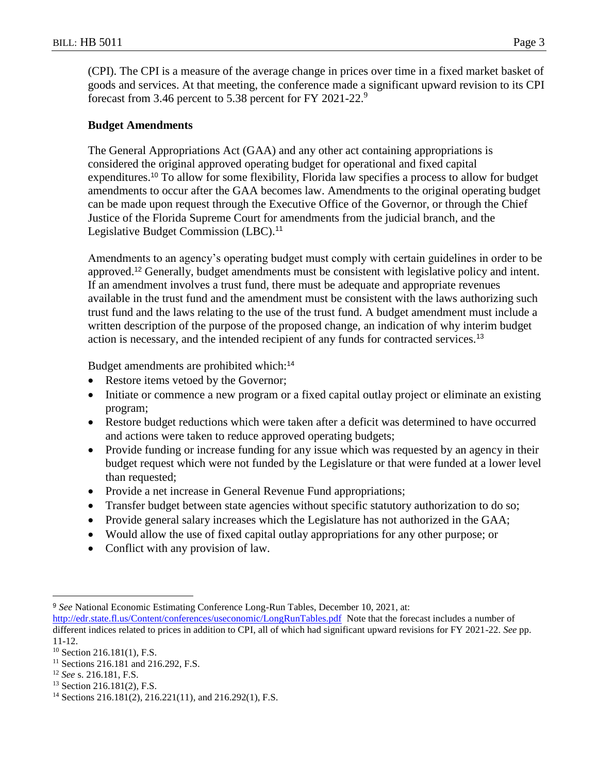(CPI). The CPI is a measure of the average change in prices over time in a fixed market basket of goods and services. At that meeting, the conference made a significant upward revision to its CPI forecast from 3.46 percent to 5.38 percent for FY 2021-22.<sup>9</sup>

## **Budget Amendments**

The General Appropriations Act (GAA) and any other act containing appropriations is considered the original approved operating budget for operational and fixed capital expenditures.<sup>10</sup> To allow for some flexibility, Florida law specifies a process to allow for budget amendments to occur after the GAA becomes law. Amendments to the original operating budget can be made upon request through the Executive Office of the Governor, or through the Chief Justice of the Florida Supreme Court for amendments from the judicial branch, and the Legislative Budget Commission (LBC).<sup>11</sup>

Amendments to an agency's operating budget must comply with certain guidelines in order to be approved.<sup>12</sup> Generally, budget amendments must be consistent with legislative policy and intent. If an amendment involves a trust fund, there must be adequate and appropriate revenues available in the trust fund and the amendment must be consistent with the laws authorizing such trust fund and the laws relating to the use of the trust fund. A budget amendment must include a written description of the purpose of the proposed change, an indication of why interim budget action is necessary, and the intended recipient of any funds for contracted services.<sup>13</sup>

Budget amendments are prohibited which:<sup>14</sup>

- Restore items vetoed by the Governor;
- Initiate or commence a new program or a fixed capital outlay project or eliminate an existing program;
- Restore budget reductions which were taken after a deficit was determined to have occurred and actions were taken to reduce approved operating budgets;
- Provide funding or increase funding for any issue which was requested by an agency in their budget request which were not funded by the Legislature or that were funded at a lower level than requested;
- Provide a net increase in General Revenue Fund appropriations;
- Transfer budget between state agencies without specific statutory authorization to do so;
- Provide general salary increases which the Legislature has not authorized in the GAA;
- Would allow the use of fixed capital outlay appropriations for any other purpose; or
- Conflict with any provision of law.

 $\overline{a}$ <sup>9</sup> *See* National Economic Estimating Conference Long-Run Tables, December 10, 2021, at:

<http://edr.state.fl.us/Content/conferences/useconomic/LongRunTables.pdf>Note that the forecast includes a number of different indices related to prices in addition to CPI, all of which had significant upward revisions for FY 2021-22. *See* pp. 11-12.

 $10$  Section 216.181(1), F.S.

<sup>&</sup>lt;sup>11</sup> Sections 216.181 and 216.292, F.S.

<sup>12</sup> *See* s. 216.181, F.S.

<sup>13</sup> Section 216.181(2), F.S.

<sup>14</sup> Sections 216.181(2), 216.221(11), and 216.292(1), F.S.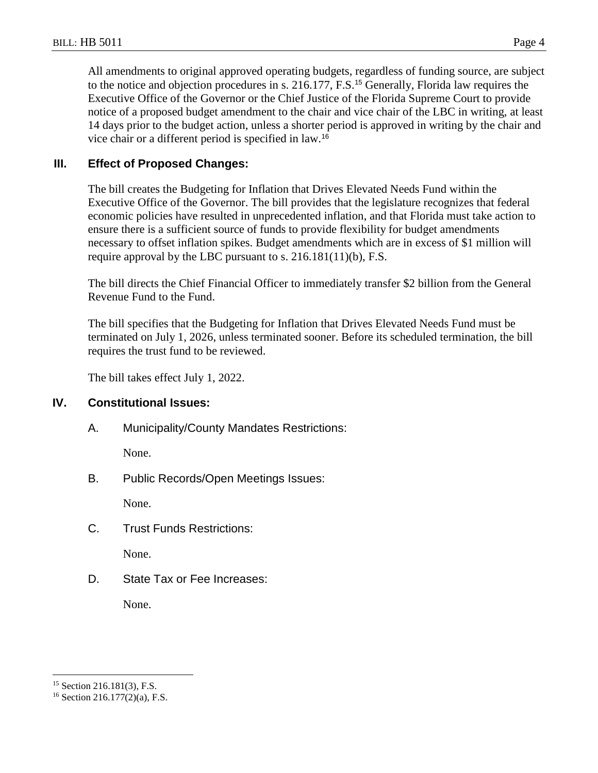All amendments to original approved operating budgets, regardless of funding source, are subject to the notice and objection procedures in s. 216.177, F.S.<sup>15</sup> Generally, Florida law requires the Executive Office of the Governor or the Chief Justice of the Florida Supreme Court to provide notice of a proposed budget amendment to the chair and vice chair of the LBC in writing, at least 14 days prior to the budget action, unless a shorter period is approved in writing by the chair and vice chair or a different period is specified in law.<sup>16</sup>

#### **III. Effect of Proposed Changes:**

The bill creates the Budgeting for Inflation that Drives Elevated Needs Fund within the Executive Office of the Governor. The bill provides that the legislature recognizes that federal economic policies have resulted in unprecedented inflation, and that Florida must take action to ensure there is a sufficient source of funds to provide flexibility for budget amendments necessary to offset inflation spikes. Budget amendments which are in excess of \$1 million will require approval by the LBC pursuant to s. 216.181(11)(b), F.S.

The bill directs the Chief Financial Officer to immediately transfer \$2 billion from the General Revenue Fund to the Fund.

The bill specifies that the Budgeting for Inflation that Drives Elevated Needs Fund must be terminated on July 1, 2026, unless terminated sooner. Before its scheduled termination, the bill requires the trust fund to be reviewed.

The bill takes effect July 1, 2022.

#### **IV. Constitutional Issues:**

A. Municipality/County Mandates Restrictions:

None.

B. Public Records/Open Meetings Issues:

None.

C. Trust Funds Restrictions:

None.

D. State Tax or Fee Increases:

None.

 $\overline{a}$ 

<sup>15</sup> Section 216.181(3), F.S.

<sup>16</sup> Section 216.177(2)(a), F.S.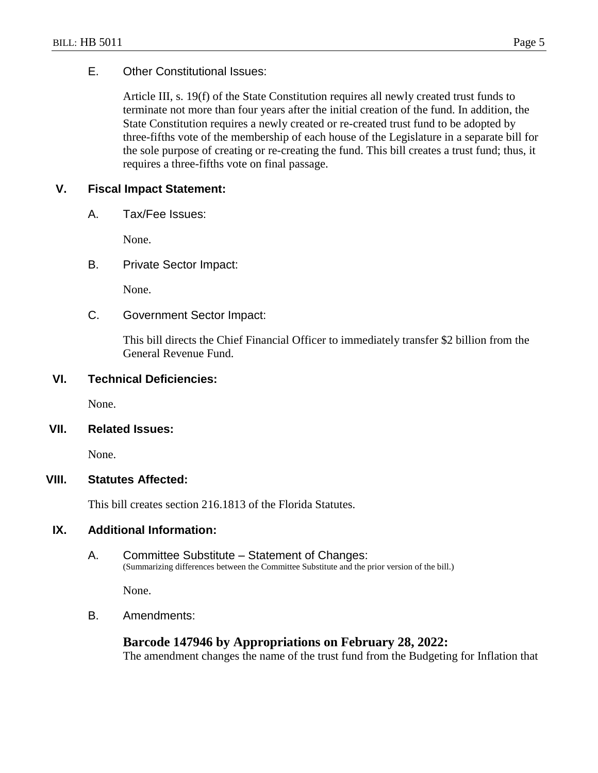## E. Other Constitutional Issues:

Article III, s. 19(f) of the State Constitution requires all newly created trust funds to terminate not more than four years after the initial creation of the fund. In addition, the State Constitution requires a newly created or re-created trust fund to be adopted by three-fifths vote of the membership of each house of the Legislature in a separate bill for the sole purpose of creating or re-creating the fund. This bill creates a trust fund; thus, it requires a three-fifths vote on final passage.

## **V. Fiscal Impact Statement:**

A. Tax/Fee Issues:

None.

B. Private Sector Impact:

None.

C. Government Sector Impact:

This bill directs the Chief Financial Officer to immediately transfer \$2 billion from the General Revenue Fund.

#### **VI. Technical Deficiencies:**

None.

#### **VII. Related Issues:**

None.

## **VIII. Statutes Affected:**

This bill creates section 216.1813 of the Florida Statutes.

#### **IX. Additional Information:**

A. Committee Substitute – Statement of Changes: (Summarizing differences between the Committee Substitute and the prior version of the bill.)

None.

B. Amendments:

#### **Barcode 147946 by Appropriations on February 28, 2022:**

The amendment changes the name of the trust fund from the Budgeting for Inflation that